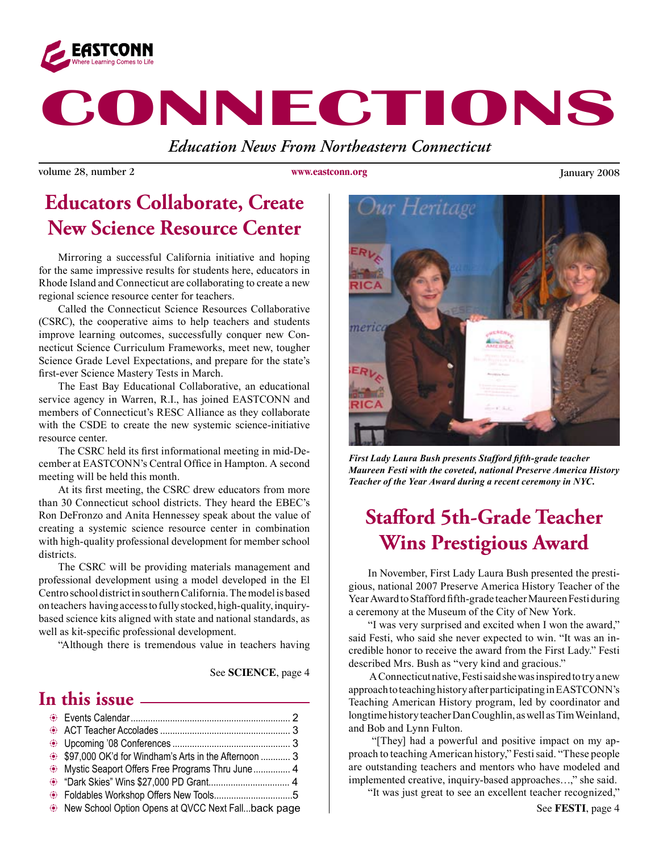

# **CONNECTIONS**

*Education News From Northeastern Connecticut*

volume 28, number 2 **WWW.extrona.org** January 2008

**www.eastconn.org**

### **Educators Collaborate, Create New Science Resource Center**

Mirroring a successful California initiative and hoping for the same impressive results for students here, educators in Rhode Island and Connecticut are collaborating to create a new regional science resource center for teachers.

Called the Connecticut Science Resources Collaborative (CSRC), the cooperative aims to help teachers and students improve learning outcomes, successfully conquer new Connecticut Science Curriculum Frameworks, meet new, tougher Science Grade Level Expectations, and prepare for the state's frst-ever Science Mastery Tests in March.

The East Bay Educational Collaborative, an educational service agency in Warren, R.I., has joined EASTCONN and members of Connecticut's RESC Alliance as they collaborate with the CSDE to create the new systemic science-initiative resource center.

The CSRC held its frst informational meeting in mid-December at EASTCONN's Central Office in Hampton. A second meeting will be held this month.

At its frst meeting, the CSRC drew educators from more than 30 Connecticut school districts. They heard the EBEC's Ron DeFronzo and Anita Hennessey speak about the value of creating a systemic science resource center in combination with high-quality professional development for member school districts.

The CSRC will be providing materials management and professional development using a model developed in the El Centro school district in southern California. The model is based on teachers having access to fully stocked, high-quality, inquirybased science kits aligned with state and national standards, as well as kit-specifc professional development.

"Although there is tremendous value in teachers having

#### See **SCIENCE**, page 4

### **In this issue**

| \$97,000 OK'd for Windham's Arts in the Afternoon  3 |  |
|------------------------------------------------------|--|
| Mystic Seaport Offers Free Programs Thru June  4     |  |
|                                                      |  |
|                                                      |  |
| New School Option Opens at QVCC Next Fallback page   |  |



*First Lady Laura Bush presents Stafford ffth-grade teacher Maureen Festi with the coveted, national Preserve America History Teacher of the Year Award during a recent ceremony in NYC.*

### **Stafford 5th-Grade Teacher Wins Prestigious Award**

 In November, First Lady Laura Bush presented the prestigious, national 2007 Preserve America History Teacher of the Year Award to Stafford ffth-grade teacher Maureen Festi during a ceremony at the Museum of the City of New York.

 "I was very surprised and excited when I won the award," said Festi, who said she never expected to win. "It was an incredible honor to receive the award from the First Lady." Festi described Mrs. Bush as "very kind and gracious."

 A Connecticut native, Festi said she was inspired to try a new approach to teaching history after participating in EASTCONN's Teaching American History program, led by coordinator and longtime history teacher Dan Coughlin, as well as Tim Weinland, and Bob and Lynn Fulton.

"[They] had a powerful and positive impact on my approach to teaching American history," Festi said. "These people are outstanding teachers and mentors who have modeled and implemented creative, inquiry-based approaches…," she said.

"It was just great to see an excellent teacher recognized,"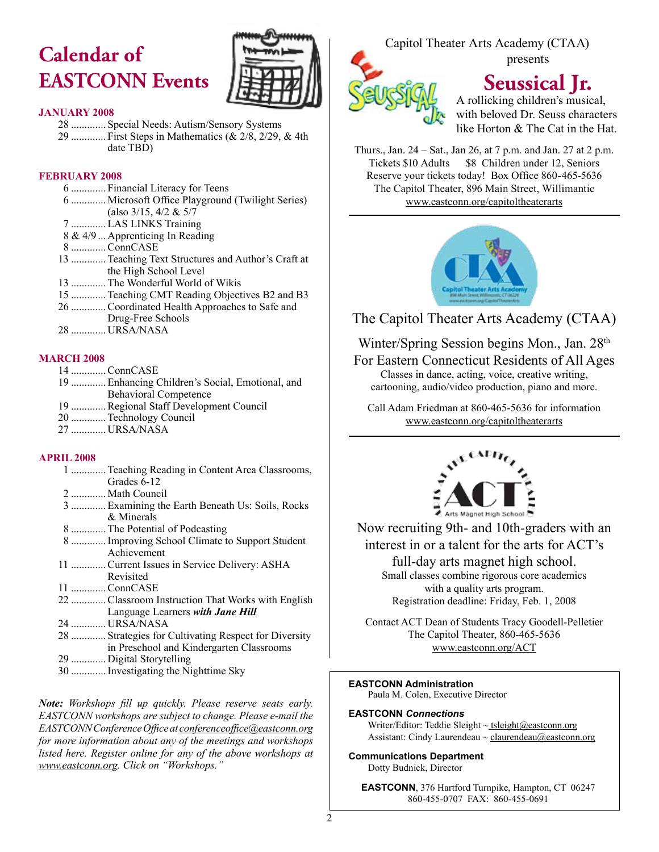## **Calendar of EASTCONN Events**



#### **JANUARY 2008**

28 ............. Special Needs: Autism/Sensory Systems 29 ............. First Steps in Mathematics (& 2/8, 2/29, & 4th date TBD)

#### **FEBRUARY 2008**

 ............. Financial Literacy for Teens 6 ............. Microsoft Office Playground (Twilight Series) (also  $3/15$ ,  $4/2$  &  $5/7$  .............LAS LINKS Training 8 & 4/9 ... Apprenticing In Reading .............ConnCASE .............Teaching Text Structures and Author's Craft at the High School Level .............The Wonderful World of Wikis .............Teaching CMT Reading Objectives B2 and B3 .............Coordinated Health Approaches to Safe and

- Drug-Free Schools
- 28 ............. URSA/NASA

#### **MARCH 2008**

 .............ConnCASE .............Enhancing Children's Social, Emotional, and Behavioral Competence .............Regional Staff Development Council .............Technology Council ............. URSA/NASA

#### **APRIL 2008**

- 1 .............Teaching Reading in Content Area Classrooms, Grades 6-12 2 ............. Math Council
- 3 .............Examining the Earth Beneath Us: Soils, Rocks & Minerals
- 8 .............The Potential of Podcasting
- 8 .............Improving School Climate to Support Student Achievement
- 11 .............Current Issues in Service Delivery: ASHA Revisited
- 11 .............ConnCASE
- 22 .............Classroom Instruction That Works with English Language Learners *with Jane Hill*
- 24 ............. URSA/NASA
- 28 ............. Strategies for Cultivating Respect for Diversity in Preschool and Kindergarten Classrooms
- 29 ............. Digital Storytelling
- 30 .............Investigating the Nighttime Sky

*Note: Workshops fll up quickly. Please reserve seats early. EASTCONN workshops are subject to change. Please e-mail the EASTCONN Conference Offce at conferenceoffce@eastconn.org for more information about any of the meetings and workshops listed here. Register online for any of the above workshops at www.eastconn.org. Click on "Workshops."*

#### Capitol Theater Arts Academy (CTAA) presents



### **Seussical Jr.**

A rollicking children's musical, with beloved Dr. Seuss characters like Horton & The Cat in the Hat.

Thurs., Jan. 24 – Sat., Jan 26, at 7 p.m. and Jan. 27 at 2 p.m. Tickets \$10 Adults \$8 Children under 12, Seniors Reserve your tickets today! Box Office 860-465-5636 The Capitol Theater, 896 Main Street, Willimantic www.eastconn.org/capitoltheaterarts



The Capitol Theater Arts Academy (CTAA)

Winter/Spring Session begins Mon., Jan. 28<sup>th</sup>

For Eastern Connecticut Residents of All Ages

Classes in dance, acting, voice, creative writing, cartooning, audio/video production, piano and more.

Call Adam Friedman at 860-465-5636 for information www.eastconn.org/capitoltheaterarts



Now recruiting 9th- and 10th-graders with an interest in or a talent for the arts for ACT's

full-day arts magnet high school. Small classes combine rigorous core academics with a quality arts program. Registration deadline: Friday, Feb. 1, 2008

Contact ACT Dean of Students Tracy Goodell-Pelletier The Capitol Theater, 860-465-5636 www.eastconn.org/ACT

#### **EASTCONN Administration**

Paula M. Colen, Executive Director

#### **EASTCONN** *Connections*

Writer/Editor: Teddie Sleight ~ tsleight@eastconn.org Assistant: Cindy Laurendeau  $\sim$  claurendeau $@$ eastconn.org

#### **Communications Department**

Dotty Budnick, Director

**EASTCONN**, 376 Hartford Turnpike, Hampton, CT 06247 860-455-0707 FAX: 860-455-0691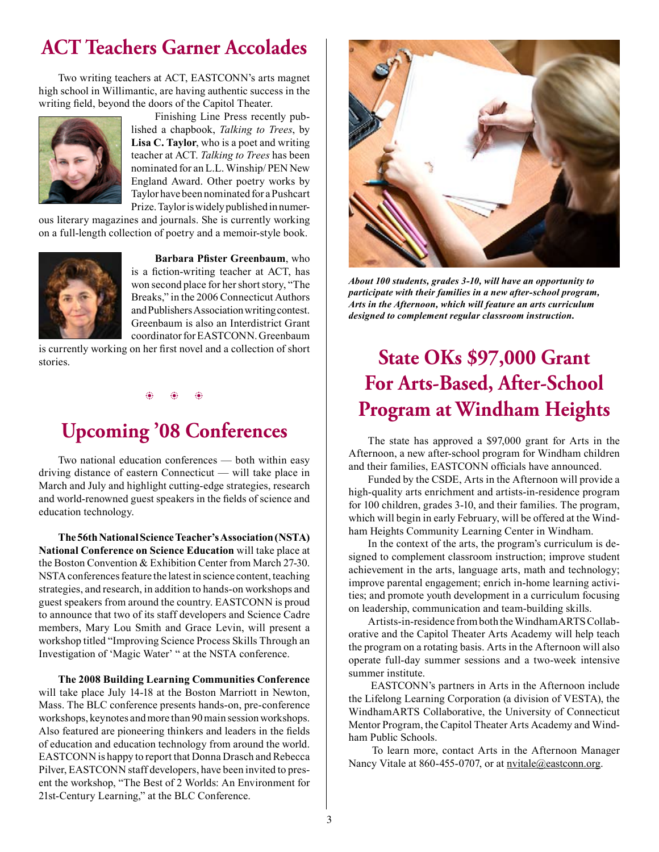### **ACT Teachers Garner Accolades**

Two writing teachers at ACT, EASTCONN's arts magnet high school in Willimantic, are having authentic success in the writing feld, beyond the doors of the Capitol Theater.



 Finishing Line Press recently published a chapbook, *Talking to Trees*, by **Lisa C. Taylor**, who is a poet and writing teacher at ACT. *Talking to Trees* has been nominated for an L.L. Winship/ PEN New England Award. Other poetry works by Taylor have been nominated for aPushcart Prize. Taylor is widely published in numer-

ous literary magazines and journals. She is currently working on a full-length collection of poetry and a memoir-style book.



**Barbara Pfster Greenbaum**, who is a fiction-writing teacher at ACT, has won second place for her short story, "The Breaks," in the 2006 Connecticut Authors and Publishers Association writing contest. Greenbaum is also an Interdistrict Grant coordinator for EASTCONN. Greenbaum

is currently working on her frst novel and a collection of short stories.

 $\circledast$   $\circledast$   $\circledast$ 

### **Upcoming '08 Conferences**

 Two national education conferences — both within easy driving distance of eastern Connecticut — will take place in March and July and highlight cutting-edge strategies, research and world-renowned guest speakers in the felds of science and education technology.

 **The 56th National Science Teacher's Association (NSTA) National Conference on Science Education** will take place at the Boston Convention & Exhibition Center from March 27-30. NSTA conferences feature the latest in science content, teaching strategies, and research, in addition to hands-on workshops and guest speakers from around the country. EASTCONN is proud to announce that two of its staff developers and Science Cadre members, Mary Lou Smith and Grace Levin, will present a workshop titled "Improving Science Process Skills Through an Investigation of 'Magic Water' " at the NSTA conference.

**The 2008 Building Learning Communities Conference**  will take place July 14-18 at the Boston Marriott in Newton, Mass. The BLC conference presents hands-on, pre-conference workshops, keynotes and more than 90 main session workshops. Also featured are pioneering thinkers and leaders in the felds of education and education technology from around the world. EASTCONN is happy to report that Donna Drasch and Rebecca Pilver, EASTCONN staff developers, have been invited to present the workshop, "The Best of 2 Worlds: An Environment for 21st-Century Learning," at the BLC Conference.



*About 100 students, grades 3-10, will have an opportunity to participate with their families in a new after-school program, Arts in the Afternoon, which will feature an arts curriculum designed to complement regular classroom instruction.*

### **State OKs \$97,000 Grant For Arts-Based, After-School Program at Windham Heights**

The state has approved a \$97,000 grant for Arts in the Afternoon, a new after-school program for Windham children and their families, EASTCONN officials have announced.

Funded by the CSDE, Arts in the Afternoon will provide a high-quality arts enrichment and artists-in-residence program for 100 children, grades 3-10, and their families. The program, which will begin in early February, will be offered at the Windham Heights Community Learning Center in Windham.

In the context of the arts, the program's curriculum is designed to complement classroom instruction; improve student achievement in the arts, language arts, math and technology; improve parental engagement; enrich in-home learning activities; and promote youth development in a curriculum focusing on leadership, communication and team-building skills.

Artists-in-residence from both the WindhamARTS Collaborative and the Capitol Theater Arts Academy will help teach the program on a rotating basis. Arts in the Afternoon will also operate full-day summer sessions and a two-week intensive summer institute.

 EASTCONN's partners in Arts in the Afternoon include the Lifelong Learning Corporation (a division of VESTA), the WindhamARTS Collaborative, the University of Connecticut Mentor Program, the Capitol Theater Arts Academy and Windham Public Schools.

 To learn more, contact Arts in the Afternoon Manager Nancy Vitale at 860-455-0707, or at nvitale@eastconn.org.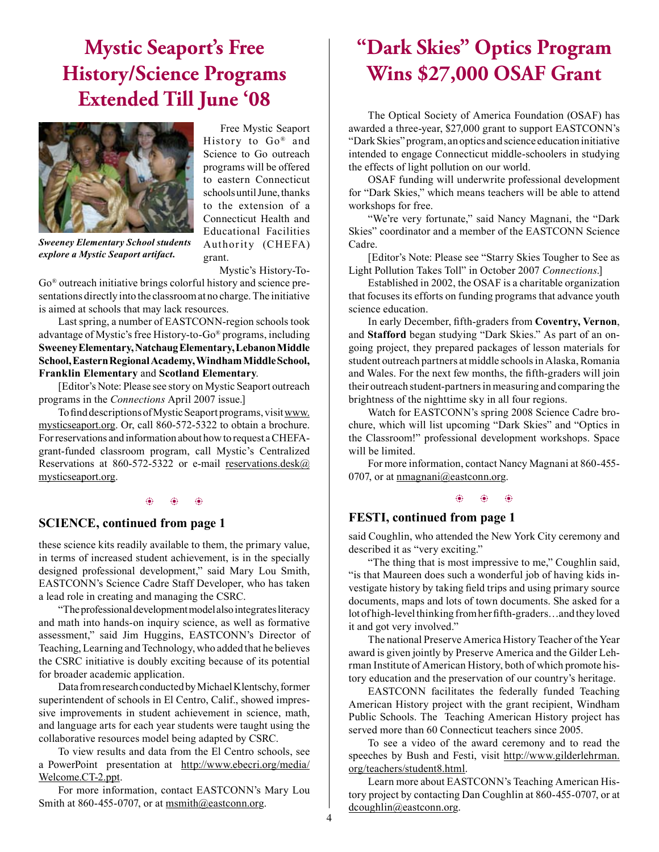### **Mystic Seaport's Free History/Science Programs Extended Till June '08**



*Sweeney Elementary School students explore a Mystic Seaport artifact.*

 Free Mystic Seaport History to Go® and Science to Go outreach programs will be offered to eastern Connecticut schools until June, thanks to the extension of a Connecticut Health and Educational Facilities Authority (CHEFA) grant.

Mystic's History-To-

Go® outreach initiative brings colorful history and science presentations directly into the classroom at no charge. The initiative is aimed at schools that may lack resources.

Last spring, a number of EASTCONN-region schools took advantage of Mystic's free History-to-Go® programs, including **Sweeney Elementary, Natchaug Elementary, Lebanon Middle School, Eastern Regional Academy, Windham Middle School, Franklin Elementary** and **Scotland Elementary**.

[Editor's Note: Please see story on Mystic Seaport outreach programs in the *Connections* April 2007 issue.]

To fnd descriptions of Mystic Seaport programs, visit www. mysticseaport.org. Or, call 860-572-5322 to obtain a brochure. For reservations and information about how to request a CHEFAgrant-funded classroom program, call Mystic's Centralized Reservations at 860-572-5322 or e-mail reservations.desk $@$ mysticseaport.org.

#### b b b b b b

#### **SCIENCE, continued from page 1**

these science kits readily available to them, the primary value, in terms of increased student achievement, is in the specially designed professional development," said Mary Lou Smith, EASTCONN's Science Cadre Staff Developer, who has taken a lead role in creating and managing the CSRC.

"The professional development model also integrates literacy and math into hands-on inquiry science, as well as formative assessment," said Jim Huggins, EASTCONN's Director of Teaching, Learning and Technology, who added that he believes the CSRC initiative is doubly exciting because of its potential for broader academic application.

Data from research conducted by Michael Klentschy, former superintendent of schools in El Centro, Calif., showed impressive improvements in student achievement in science, math, and language arts for each year students were taught using the collaborative resources model being adapted by CSRC.

To view results and data from the El Centro schools, see a PowerPoint presentation at http://www.ebecri.org/media/ Welcome.CT-2.ppt.

For more information, contact EASTCONN's Mary Lou Smith at 860-455-0707, or at msmith@eastconn.org.

### **"Dark Skies" Optics Program Wins \$27,000 OSAF Grant**

The Optical Society of America Foundation (OSAF) has awarded a three-year, \$27,000 grant to support EASTCONN's "Dark Skies" program, an optics and science education initiative intended to engage Connecticut middle-schoolers in studying the effects of light pollution on our world.

OSAF funding will underwrite professional development for "Dark Skies," which means teachers will be able to attend workshops for free.

"We're very fortunate," said Nancy Magnani, the "Dark Skies" coordinator and a member of the EASTCONN Science Cadre.

[Editor's Note: Please see "Starry Skies Tougher to See as Light Pollution Takes Toll" in October 2007 *Connections*.]

Established in 2002, the OSAF is a charitable organization that focuses its efforts on funding programs that advance youth science education.

In early December, ffth-graders from **Coventry, Vernon**, and **Stafford** began studying "Dark Skies." As part of an ongoing project, they prepared packages of lesson materials for student outreach partners at middle schools in Alaska, Romania and Wales. For the next few months, the ffth-graders will join their outreach student-partners in measuring and comparing the brightness of the nighttime sky in all four regions.

Watch for EASTCONN's spring 2008 Science Cadre brochure, which will list upcoming "Dark Skies" and "Optics in the Classroom!" professional development workshops. Space will be limited.

For more information, contact Nancy Magnani at 860-455- 0707, or at nmagnani@eastconn.org.

#### **FESTI, continued from page 1**

said Coughlin, who attended the New York City ceremony and described it as "very exciting."

"The thing that is most impressive to me," Coughlin said, "is that Maureen does such a wonderful job of having kids investigate history by taking feld trips and using primary source documents, maps and lots of town documents. She asked for a lot of high-level thinking from her ffth-graders…and they loved it and got very involved."

 The national Preserve America History Teacher of the Year award is given jointly by Preserve America and the Gilder Lehrman Institute of American History, both of which promote history education and the preservation of our country's heritage.

EASTCONN facilitates the federally funded Teaching American History project with the grant recipient, Windham Public Schools. The Teaching American History project has served more than 60 Connecticut teachers since 2005.

 To see a video of the award ceremony and to read the speeches by Bush and Festi, visit http://www.gilderlehrman. org/teachers/student8.html.

Learn more about EASTCONN's Teaching American History project by contacting Dan Coughlin at 860-455-0707, or at dcoughlin@eastconn.org.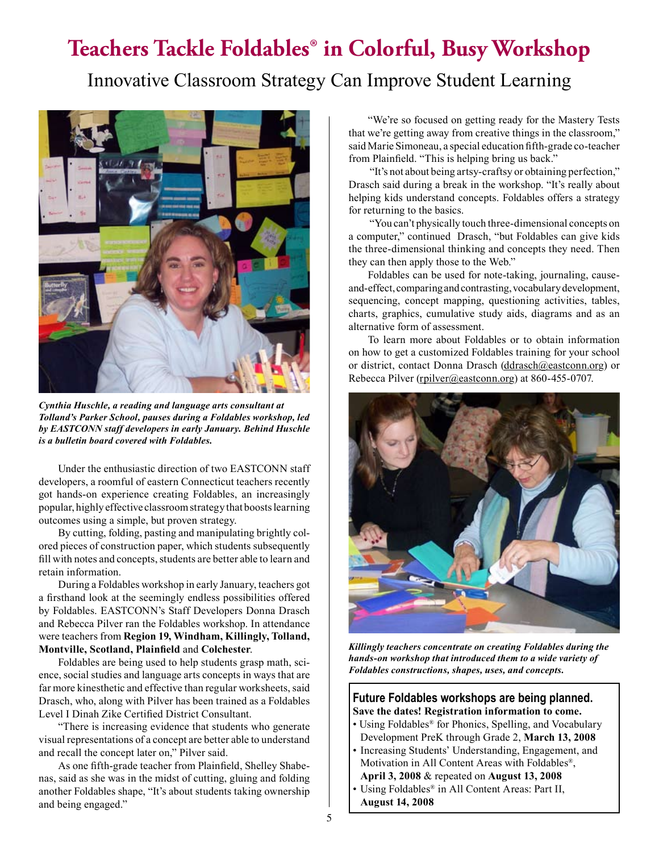### **Teachers Tackle Foldables® in Colorful, Busy Workshop**

Innovative Classroom Strategy Can Improve Student Learning



*Cynthia Huschle, a reading and language arts consultant at Tolland's Parker School, pauses during a Foldables workshop, led by EASTCONN staff developers in early January. Behind Huschle is a bulletin board covered with Foldables.* 

Under the enthusiastic direction of two EASTCONN staff developers, a roomful of eastern Connecticut teachers recently got hands-on experience creating Foldables, an increasingly popular, highly effective classroomstrategy that boostslearning outcomes using a simple, but proven strategy.

 By cutting, folding, pasting and manipulating brightly colored pieces of construction paper, which students subsequently fll with notes and concepts, students are better able to learn and retain information.

During a Foldables workshop in early January, teachers got a frsthand look at the seemingly endless possibilities offered by Foldables. EASTCONN's Staff Developers Donna Drasch and Rebecca Pilver ran the Foldables workshop. In attendance were teachers from **Region 19, Windham, Killingly, Tolland, Montville, Scotland, Plainfeld** and **Colchester**.

 Foldables are being used to help students grasp math, science, social studies and language arts concepts in ways that are far more kinesthetic and effective than regular worksheets, said Drasch, who, along with Pilver has been trained as a Foldables Level I Dinah Zike Certifed District Consultant.

 "There is increasing evidence that students who generate visual representations of a concept are better able to understand and recall the concept later on," Pilver said.

As one ffth-grade teacher from Plainfeld, Shelley Shabenas, said as she was in the midst of cutting, gluing and folding another Foldables shape, "It's about students taking ownership and being engaged."

"We're so focused on getting ready for the Mastery Tests that we're getting away from creative things in the classroom," said Marie Simoneau, a special education ffth-grade co-teacher from Plainfeld. "This is helping bring us back."

 "It's not about being artsy-craftsy or obtaining perfection," Drasch said during a break in the workshop. "It's really about helping kids understand concepts. Foldables offers a strategy for returning to the basics.

 "You can't physically touch three-dimensional concepts on a computer," continued Drasch, "but Foldables can give kids the three-dimensional thinking and concepts they need. Then they can then apply those to the Web."

Foldables can be used for note-taking, journaling, causeand-effect, comparing and contrasting, vocabulary development, sequencing, concept mapping, questioning activities, tables, charts, graphics, cumulative study aids, diagrams and as an alternative form of assessment.

 To learn more about Foldables or to obtain information on how to get a customized Foldables training for your school or district, contact Donna Drasch (ddrasch@eastconn.org) or Rebecca Pilver (rpilver@eastconn.org) at 860-455-0707.



*Killingly teachers concentrate on creating Foldables during the hands-on workshop that introduced them to a wide variety of Foldables constructions, shapes, uses, and concepts.*

#### **Future Foldables workshops are being planned. Save the dates! Registration information to come.**

- Using Foldables<sup>®</sup> for Phonics, Spelling, and Vocabulary Development PreK through Grade 2, **March 13, 2008**
- Increasing Students' Understanding, Engagement, and Motivation in All Content Areas with Foldables®, **April 3, 2008** & repeated on **August 13, 2008**
- Using Foldables<sup>®</sup> in All Content Areas: Part II, **August 14, 2008**